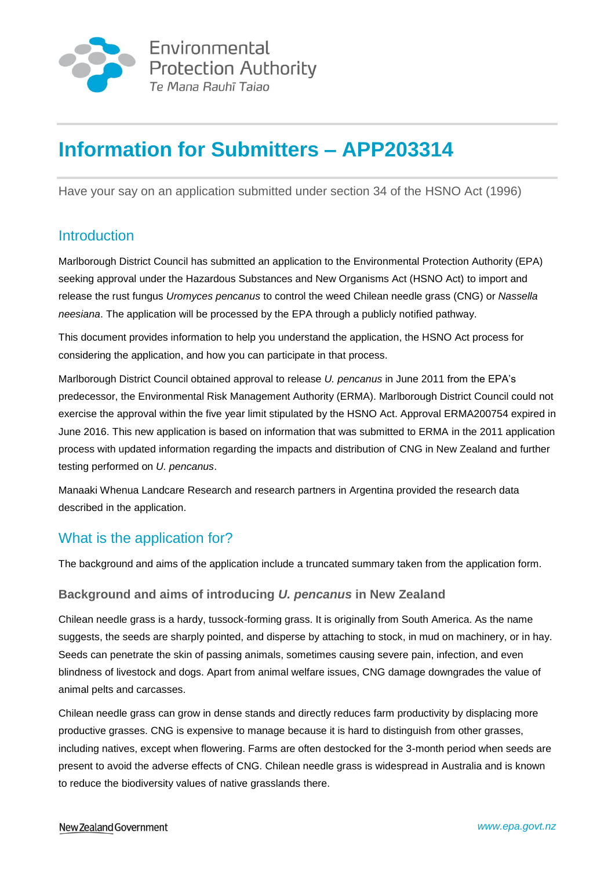

# **Information for Submitters – APP203314**

Have your say on an application submitted under section 34 of the HSNO Act (1996)

# **Introduction**

Marlborough District Council has submitted an application to the Environmental Protection Authority (EPA) seeking approval under the Hazardous Substances and New Organisms Act (HSNO Act) to import and release the rust fungus *Uromyces pencanus* to control the weed Chilean needle grass (CNG) or *Nassella neesiana*. The application will be processed by the EPA through a publicly notified pathway.

This document provides information to help you understand the application, the HSNO Act process for considering the application, and how you can participate in that process.

Marlborough District Council obtained approval to release *U. pencanus* in June 2011 from the EPA's predecessor, the Environmental Risk Management Authority (ERMA). Marlborough District Council could not exercise the approval within the five year limit stipulated by the HSNO Act. Approval ERMA200754 expired in June 2016. This new application is based on information that was submitted to ERMA in the 2011 application process with updated information regarding the impacts and distribution of CNG in New Zealand and further testing performed on *U. pencanus*.

Manaaki Whenua Landcare Research and research partners in Argentina provided the research data described in the application.

# What is the application for?

The background and aims of the application include a truncated summary taken from the application form.

### **Background and aims of introducing** *U. pencanus* **in New Zealand**

Chilean needle grass is a hardy, tussock-forming grass. It is originally from South America. As the name suggests, the seeds are sharply pointed, and disperse by attaching to stock, in mud on machinery, or in hay. Seeds can penetrate the skin of passing animals, sometimes causing severe pain, infection, and even blindness of livestock and dogs. Apart from animal welfare issues, CNG damage downgrades the value of animal pelts and carcasses.

Chilean needle grass can grow in dense stands and directly reduces farm productivity by displacing more productive grasses. CNG is expensive to manage because it is hard to distinguish from other grasses, including natives, except when flowering. Farms are often destocked for the 3-month period when seeds are present to avoid the adverse effects of CNG. Chilean needle grass is widespread in Australia and is known to reduce the biodiversity values of native grasslands there.

#### New Zealand Government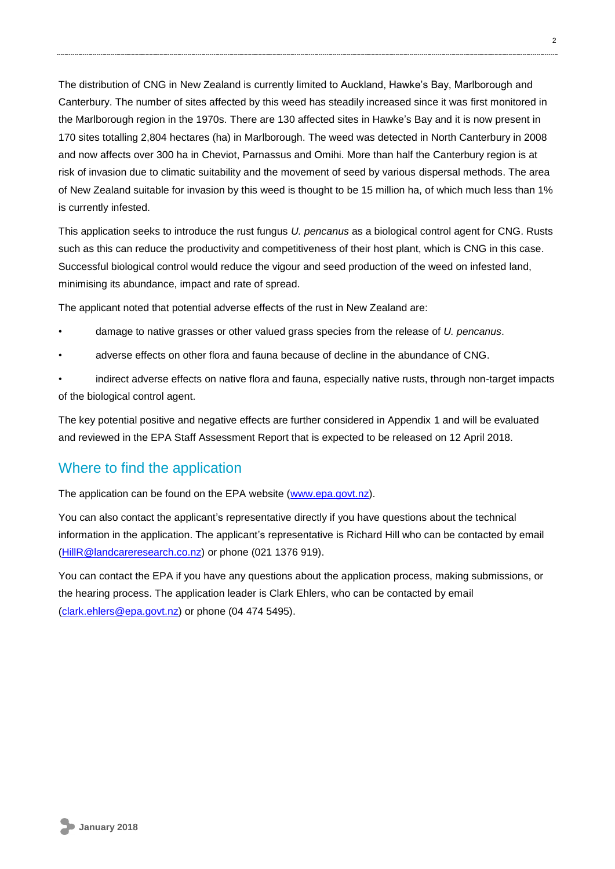The distribution of CNG in New Zealand is currently limited to Auckland, Hawke's Bay, Marlborough and Canterbury. The number of sites affected by this weed has steadily increased since it was first monitored in the Marlborough region in the 1970s. There are 130 affected sites in Hawke's Bay and it is now present in 170 sites totalling 2,804 hectares (ha) in Marlborough. The weed was detected in North Canterbury in 2008 and now affects over 300 ha in Cheviot, Parnassus and Omihi. More than half the Canterbury region is at risk of invasion due to climatic suitability and the movement of seed by various dispersal methods. The area of New Zealand suitable for invasion by this weed is thought to be 15 million ha, of which much less than 1% is currently infested.

This application seeks to introduce the rust fungus *U. pencanus* as a biological control agent for CNG. Rusts such as this can reduce the productivity and competitiveness of their host plant, which is CNG in this case. Successful biological control would reduce the vigour and seed production of the weed on infested land, minimising its abundance, impact and rate of spread.

The applicant noted that potential adverse effects of the rust in New Zealand are:

- damage to native grasses or other valued grass species from the release of *U. pencanus*.
- adverse effects on other flora and fauna because of decline in the abundance of CNG.

• indirect adverse effects on native flora and fauna, especially native rusts, through non-target impacts of the biological control agent.

The key potential positive and negative effects are further considered in Appendix 1 and will be evaluated and reviewed in the EPA Staff Assessment Report that is expected to be released on 12 April 2018.

### Where to find the application

The application can be found on the EPA website [\(www.epa.govt.nz\)](http://www.epa.govt.nz/).

You can also contact the applicant's representative directly if you have questions about the technical information in the application. The applicant's representative is Richard Hill who can be contacted by email [\(HillR@landcareresearch.co.nz\)](mailto:HillR@landcareresearch.co.nz) or phone (021 1376 919).

You can contact the EPA if you have any questions about the application process, making submissions, or the hearing process. The application leader is Clark Ehlers, who can be contacted by email [\(clark.ehlers@epa.govt.nz\)](mailto:clark.ehlers@epa.govt.nz) or phone (04 474 5495).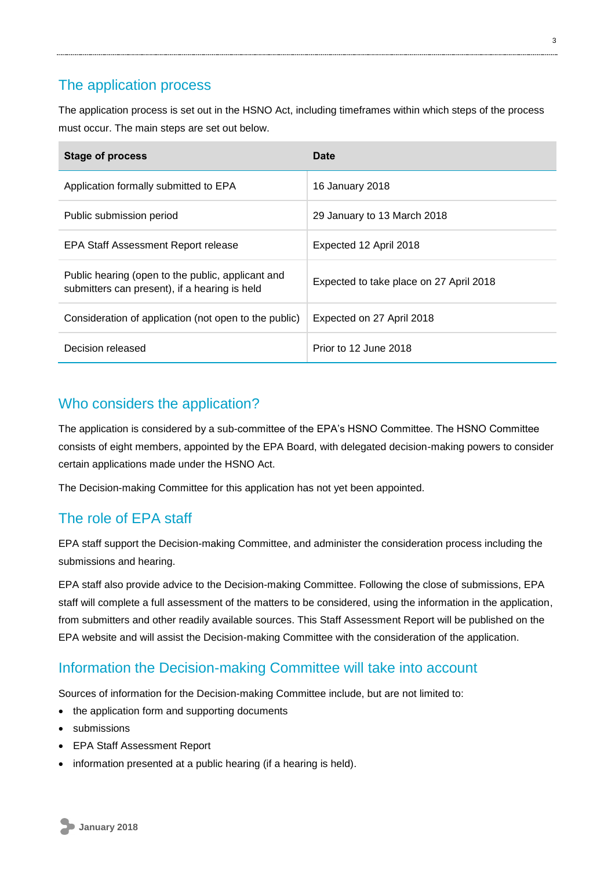### The application process

The application process is set out in the HSNO Act, including timeframes within which steps of the process must occur. The main steps are set out below.

| Stage of process                                                                                   | Date                                    |
|----------------------------------------------------------------------------------------------------|-----------------------------------------|
| Application formally submitted to EPA                                                              | 16 January 2018                         |
| Public submission period                                                                           | 29 January to 13 March 2018             |
| EPA Staff Assessment Report release                                                                | Expected 12 April 2018                  |
| Public hearing (open to the public, applicant and<br>submitters can present), if a hearing is held | Expected to take place on 27 April 2018 |
| Consideration of application (not open to the public)                                              | Expected on 27 April 2018               |
| Decision released                                                                                  | Prior to 12 June 2018                   |

### Who considers the application?

The application is considered by a sub-committee of the EPA's HSNO Committee. The HSNO Committee consists of eight members, appointed by the EPA Board, with delegated decision-making powers to consider certain applications made under the HSNO Act.

The Decision-making Committee for this application has not yet been appointed.

# The role of EPA staff

EPA staff support the Decision-making Committee, and administer the consideration process including the submissions and hearing.

EPA staff also provide advice to the Decision-making Committee. Following the close of submissions, EPA staff will complete a full assessment of the matters to be considered, using the information in the application, from submitters and other readily available sources. This Staff Assessment Report will be published on the EPA website and will assist the Decision-making Committee with the consideration of the application.

# Information the Decision-making Committee will take into account

Sources of information for the Decision-making Committee include, but are not limited to:

- the application form and supporting documents
- submissions
- EPA Staff Assessment Report
- information presented at a public hearing (if a hearing is held).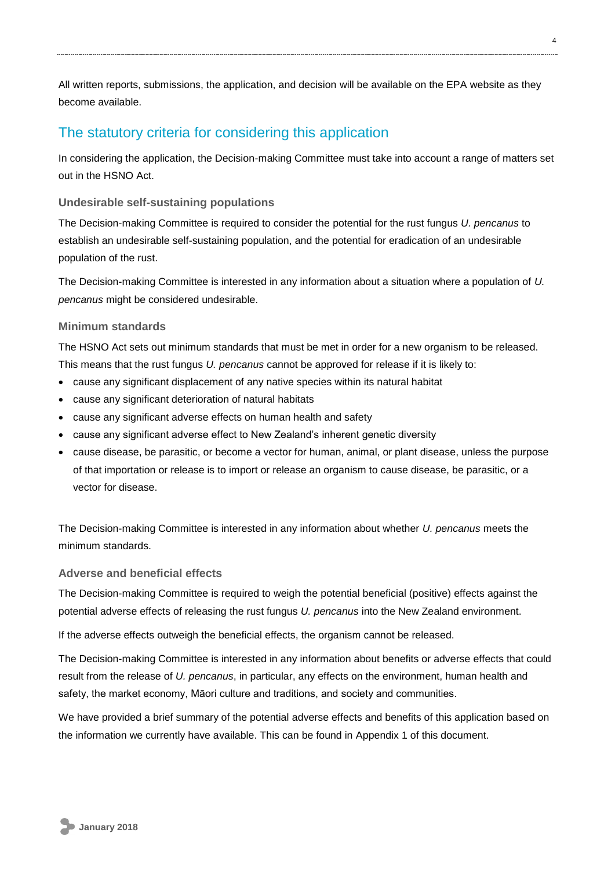All written reports, submissions, the application, and decision will be available on the EPA website as they become available.

### The statutory criteria for considering this application

In considering the application, the Decision-making Committee must take into account a range of matters set out in the HSNO Act.

#### **Undesirable self-sustaining populations**

The Decision-making Committee is required to consider the potential for the rust fungus *U. pencanus* to establish an undesirable self-sustaining population, and the potential for eradication of an undesirable population of the rust.

The Decision-making Committee is interested in any information about a situation where a population of *U. pencanus* might be considered undesirable.

#### **Minimum standards**

The HSNO Act sets out minimum standards that must be met in order for a new organism to be released. This means that the rust fungus *U. pencanus* cannot be approved for release if it is likely to:

- cause any significant displacement of any native species within its natural habitat
- cause any significant deterioration of natural habitats
- cause any significant adverse effects on human health and safety
- cause any significant adverse effect to New Zealand's inherent genetic diversity
- cause disease, be parasitic, or become a vector for human, animal, or plant disease, unless the purpose of that importation or release is to import or release an organism to cause disease, be parasitic, or a vector for disease.

The Decision-making Committee is interested in any information about whether *U. pencanus* meets the minimum standards.

#### **Adverse and beneficial effects**

The Decision-making Committee is required to weigh the potential beneficial (positive) effects against the potential adverse effects of releasing the rust fungus *U. pencanus* into the New Zealand environment.

If the adverse effects outweigh the beneficial effects, the organism cannot be released.

The Decision-making Committee is interested in any information about benefits or adverse effects that could result from the release of *U. pencanus*, in particular, any effects on the environment, human health and safety, the market economy, Māori culture and traditions, and society and communities.

We have provided a brief summary of the potential adverse effects and benefits of this application based on the information we currently have available. This can be found in Appendix 1 of this document.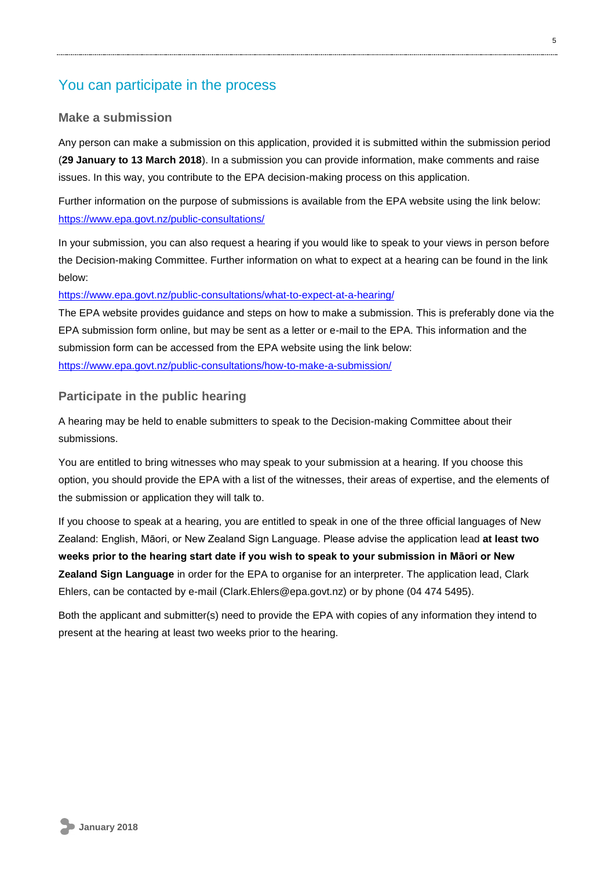### You can participate in the process

#### **Make a submission**

Any person can make a submission on this application, provided it is submitted within the submission period (**29 January to 13 March 2018**). In a submission you can provide information, make comments and raise issues. In this way, you contribute to the EPA decision-making process on this application.

Further information on the purpose of submissions is available from the EPA website using the link below: <https://www.epa.govt.nz/public-consultations/>

In your submission, you can also request a hearing if you would like to speak to your views in person before the Decision-making Committee. Further information on what to expect at a hearing can be found in the link below:

<https://www.epa.govt.nz/public-consultations/what-to-expect-at-a-hearing/>

The EPA website provides guidance and steps on how to make a submission. This is preferably done via the EPA submission form online, but may be sent as a letter or e-mail to the EPA. This information and the submission form can be accessed from the EPA website using the link below: <https://www.epa.govt.nz/public-consultations/how-to-make-a-submission/>

#### **Participate in the public hearing**

A hearing may be held to enable submitters to speak to the Decision-making Committee about their submissions.

You are entitled to bring witnesses who may speak to your submission at a hearing. If you choose this option, you should provide the EPA with a list of the witnesses, their areas of expertise, and the elements of the submission or application they will talk to.

If you choose to speak at a hearing, you are entitled to speak in one of the three official languages of New Zealand: English, Māori, or New Zealand Sign Language. Please advise the application lead **at least two weeks prior to the hearing start date if you wish to speak to your submission in Māori or New Zealand Sign Language** in order for the EPA to organise for an interpreter. The application lead, Clark Ehlers, can be contacted by e-mail (Clark.Ehlers@epa.govt.nz) or by phone (04 474 5495).

Both the applicant and submitter(s) need to provide the EPA with copies of any information they intend to present at the hearing at least two weeks prior to the hearing.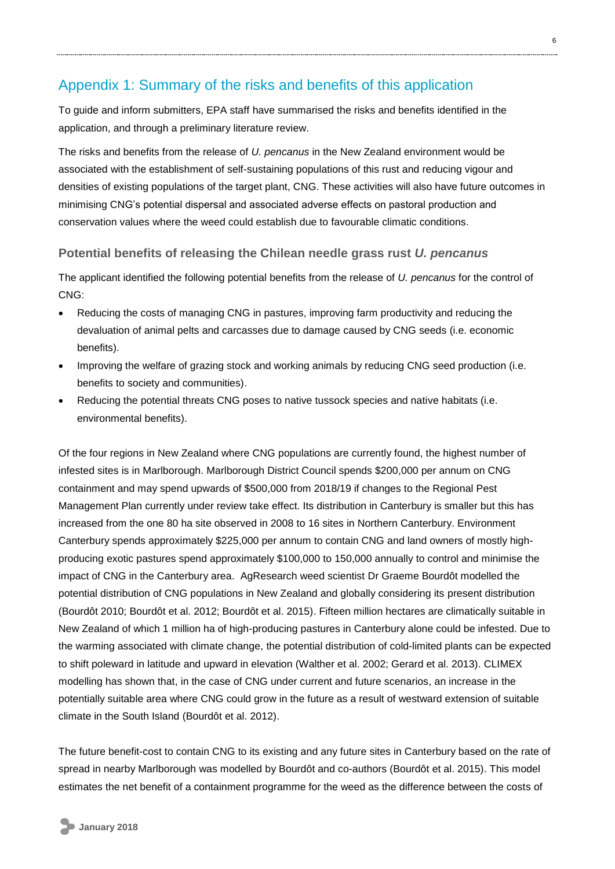### Appendix 1: Summary of the risks and benefits of this application

To guide and inform submitters, EPA staff have summarised the risks and benefits identified in the application, and through a preliminary literature review.

The risks and benefits from the release of *U. pencanus* in the New Zealand environment would be associated with the establishment of self-sustaining populations of this rust and reducing vigour and densities of existing populations of the target plant, CNG. These activities will also have future outcomes in minimising CNG's potential dispersal and associated adverse effects on pastoral production and conservation values where the weed could establish due to favourable climatic conditions.

#### **Potential benefits of releasing the Chilean needle grass rust** *U. pencanus*

The applicant identified the following potential benefits from the release of *U. pencanus* for the control of CNG:

- Reducing the costs of managing CNG in pastures, improving farm productivity and reducing the devaluation of animal pelts and carcasses due to damage caused by CNG seeds (i.e. economic benefits).
- Improving the welfare of grazing stock and working animals by reducing CNG seed production (i.e. benefits to society and communities).
- Reducing the potential threats CNG poses to native tussock species and native habitats (i.e. environmental benefits).

Of the four regions in New Zealand where CNG populations are currently found, the highest number of infested sites is in Marlborough. Marlborough District Council spends \$200,000 per annum on CNG containment and may spend upwards of \$500,000 from 2018/19 if changes to the Regional Pest Management Plan currently under review take effect. Its distribution in Canterbury is smaller but this has increased from the one 80 ha site observed in 2008 to 16 sites in Northern Canterbury. Environment Canterbury spends approximately \$225,000 per annum to contain CNG and land owners of mostly highproducing exotic pastures spend approximately \$100,000 to 150,000 annually to control and minimise the impact of CNG in the Canterbury area. AgResearch weed scientist Dr Graeme Bourdôt modelled the potential distribution of CNG populations in New Zealand and globally considering its present distribution (Bourdôt 2010; Bourdôt et al. 2012; Bourdôt et al. 2015). Fifteen million hectares are climatically suitable in New Zealand of which 1 million ha of high-producing pastures in Canterbury alone could be infested. Due to the warming associated with climate change, the potential distribution of cold-limited plants can be expected to shift poleward in latitude and upward in elevation (Walther et al. 2002; Gerard et al. 2013). CLIMEX modelling has shown that, in the case of CNG under current and future scenarios, an increase in the potentially suitable area where CNG could grow in the future as a result of westward extension of suitable climate in the South Island (Bourdôt et al. 2012).

The future benefit-cost to contain CNG to its existing and any future sites in Canterbury based on the rate of spread in nearby Marlborough was modelled by Bourdôt and co-authors (Bourdôt et al. 2015). This model estimates the net benefit of a containment programme for the weed as the difference between the costs of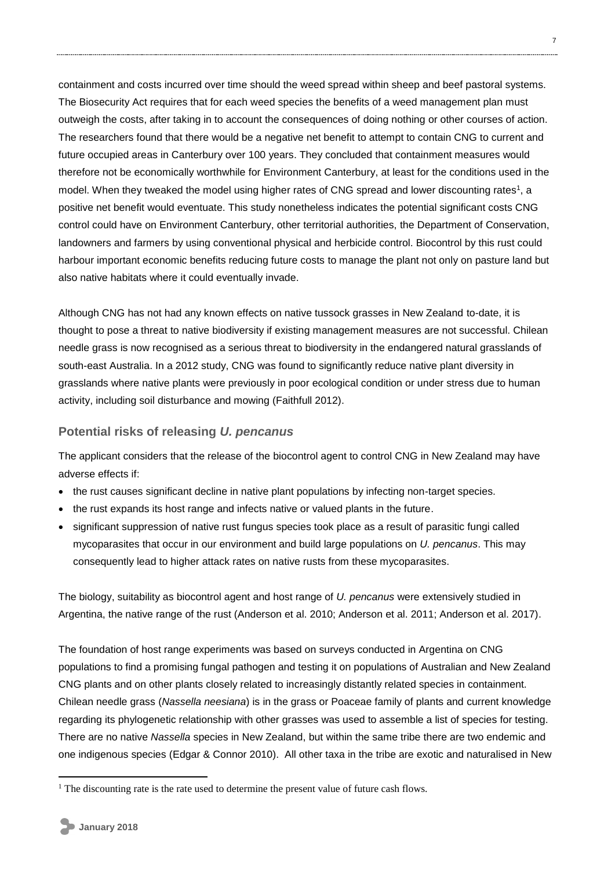containment and costs incurred over time should the weed spread within sheep and beef pastoral systems. The Biosecurity Act requires that for each weed species the benefits of a weed management plan must outweigh the costs, after taking in to account the consequences of doing nothing or other courses of action. The researchers found that there would be a negative net benefit to attempt to contain CNG to current and future occupied areas in Canterbury over 100 years. They concluded that containment measures would therefore not be economically worthwhile for Environment Canterbury, at least for the conditions used in the model. When they tweaked the model using higher rates of CNG spread and lower discounting rates<sup>1</sup>, a positive net benefit would eventuate. This study nonetheless indicates the potential significant costs CNG control could have on Environment Canterbury, other territorial authorities, the Department of Conservation, landowners and farmers by using conventional physical and herbicide control. Biocontrol by this rust could harbour important economic benefits reducing future costs to manage the plant not only on pasture land but also native habitats where it could eventually invade.

Although CNG has not had any known effects on native tussock grasses in New Zealand to-date, it is thought to pose a threat to native biodiversity if existing management measures are not successful. Chilean needle grass is now recognised as a serious threat to biodiversity in the endangered natural grasslands of south-east Australia. In a 2012 study, CNG was found to significantly reduce native plant diversity in grasslands where native plants were previously in poor ecological condition or under stress due to human activity, including soil disturbance and mowing (Faithfull 2012).

### **Potential risks of releasing** *U. pencanus*

The applicant considers that the release of the biocontrol agent to control CNG in New Zealand may have adverse effects if:

- the rust causes significant decline in native plant populations by infecting non-target species.
- the rust expands its host range and infects native or valued plants in the future.
- significant suppression of native rust fungus species took place as a result of parasitic fungi called mycoparasites that occur in our environment and build large populations on *U. pencanus*. This may consequently lead to higher attack rates on native rusts from these mycoparasites.

The biology, suitability as biocontrol agent and host range of *U. pencanus* were extensively studied in Argentina, the native range of the rust (Anderson et al. 2010; Anderson et al. 2011; Anderson et al. 2017).

The foundation of host range experiments was based on surveys conducted in Argentina on CNG populations to find a promising fungal pathogen and testing it on populations of Australian and New Zealand CNG plants and on other plants closely related to increasingly distantly related species in containment. Chilean needle grass (*Nassella neesiana*) is in the grass or Poaceae family of plants and current knowledge regarding its phylogenetic relationship with other grasses was used to assemble a list of species for testing. There are no native *Nassella* species in New Zealand, but within the same tribe there are two endemic and one indigenous species (Edgar & Connor 2010). All other taxa in the tribe are exotic and naturalised in New

1

<sup>&</sup>lt;sup>1</sup> The discounting rate is the rate used to determine the present value of future cash flows.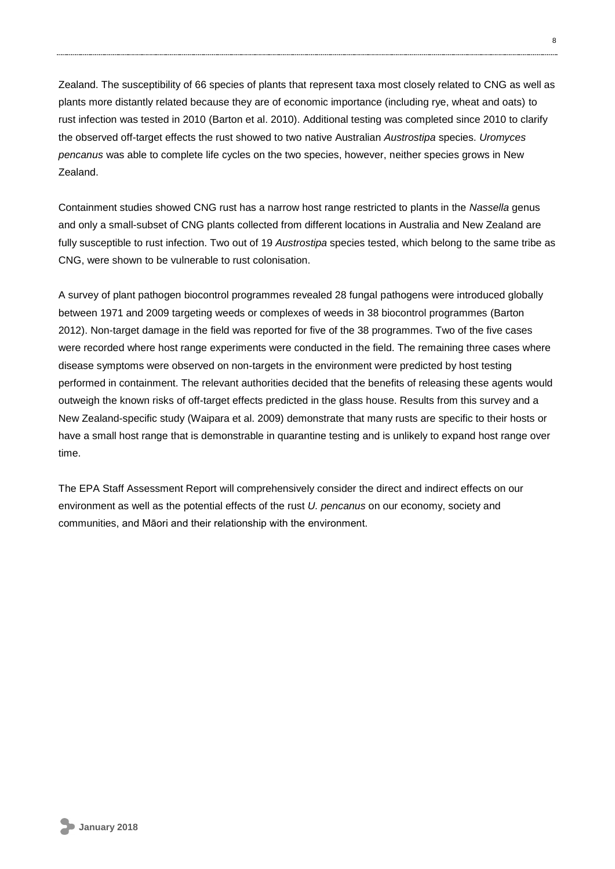Zealand. The susceptibility of 66 species of plants that represent taxa most closely related to CNG as well as plants more distantly related because they are of economic importance (including rye, wheat and oats) to rust infection was tested in 2010 (Barton et al. 2010). Additional testing was completed since 2010 to clarify the observed off-target effects the rust showed to two native Australian *Austrostipa* species. *Uromyces pencanus* was able to complete life cycles on the two species, however, neither species grows in New Zealand.

Containment studies showed CNG rust has a narrow host range restricted to plants in the *Nassella* genus and only a small-subset of CNG plants collected from different locations in Australia and New Zealand are fully susceptible to rust infection. Two out of 19 *Austrostipa* species tested, which belong to the same tribe as CNG, were shown to be vulnerable to rust colonisation.

A survey of plant pathogen biocontrol programmes revealed 28 fungal pathogens were introduced globally between 1971 and 2009 targeting weeds or complexes of weeds in 38 biocontrol programmes (Barton 2012). Non-target damage in the field was reported for five of the 38 programmes. Two of the five cases were recorded where host range experiments were conducted in the field. The remaining three cases where disease symptoms were observed on non-targets in the environment were predicted by host testing performed in containment. The relevant authorities decided that the benefits of releasing these agents would outweigh the known risks of off-target effects predicted in the glass house. Results from this survey and a New Zealand-specific study (Waipara et al. 2009) demonstrate that many rusts are specific to their hosts or have a small host range that is demonstrable in quarantine testing and is unlikely to expand host range over time.

The EPA Staff Assessment Report will comprehensively consider the direct and indirect effects on our environment as well as the potential effects of the rust *U. pencanus* on our economy, society and communities, and Māori and their relationship with the environment.